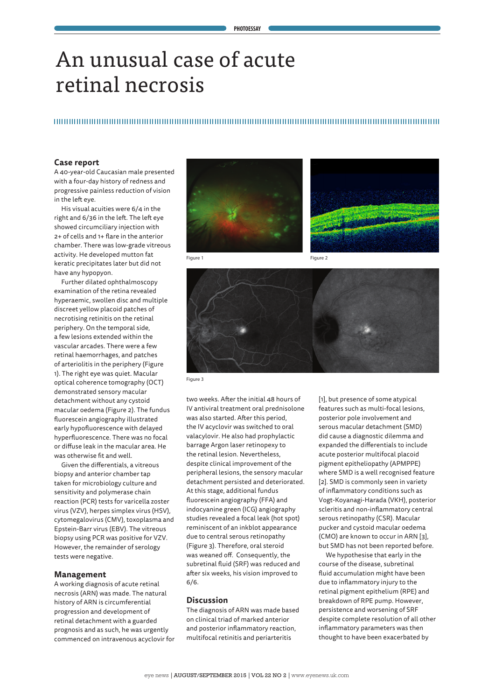# An unusual case of acute retinal necrosis

## 

#### **Case report**

A 40-year-old Caucasian male presented with a four-day history of redness and progressive painless reduction of vision in the left eye.

His visual acuities were 6/4 in the right and 6/36 in the left. The left eye showed circumciliary injection with 2+ of cells and 1+ flare in the anterior chamber. There was low-grade vitreous activity. He developed mutton fat keratic precipitates later but did not have any hypopyon.

Further dilated ophthalmoscopy examination of the retina revealed hyperaemic, swollen disc and multiple discreet yellow placoid patches of necrotising retinitis on the retinal periphery. On the temporal side, a few lesions extended within the vascular arcades. There were a few retinal haemorrhages, and patches of arteriolitis in the periphery (Figure 1). The right eye was quiet. Macular optical coherence tomography (OCT) demonstrated sensory macular detachment without any cystoid macular oedema (Figure 2). The fundus fluorescein angiography illustrated early hypofluorescence with delayed hyperfluorescence. There was no focal or diffuse leak in the macular area. He was otherwise fit and well.

Given the differentials, a vitreous biopsy and anterior chamber tap taken for microbiology culture and sensitivity and polymerase chain reaction (PCR) tests for varicella zoster virus (VZV), herpes simplex virus (HSV), cytomegalovirus (CMV), toxoplasma and Epstein-Barr virus (EBV). The vitreous biopsy using PCR was positive for VZV. However, the remainder of serology tests were negative.

#### **Management**

A working diagnosis of acute retinal necrosis (ARN) was made. The natural history of ARN is circumferential progression and development of retinal detachment with a guarded prognosis and as such, he was urgently commenced on intravenous acyclovir for





Figure 1 **Figure 2** 





Figure 3

two weeks. After the initial 48 hours of IV antiviral treatment oral prednisolone was also started. After this period, the IV acyclovir was switched to oral valacylovir. He also had prophylactic barrage Argon laser retinopexy to the retinal lesion. Nevertheless, despite clinical improvement of the peripheral lesions, the sensory macular detachment persisted and deteriorated. At this stage, additional fundus fluorescein angiography (FFA) and indocyanine green (ICG) angiography studies revealed a focal leak (hot spot) reminiscent of an inkblot appearance due to central serous retinopathy (Figure 3). Therefore, oral steroid was weaned off. Consequently, the subretinal fluid (SRF) was reduced and after six weeks, his vision improved to 6/6.

#### **Discussion**

The diagnosis of ARN was made based on clinical triad of marked anterior and posterior inflammatory reaction, multifocal retinitis and periarteritis

[1], but presence of some atypical features such as multi-focal lesions, posterior pole involvement and serous macular detachment (SMD) did cause a diagnostic dilemma and expanded the differentials to include acute posterior multifocal placoid pigment epitheliopathy (APMPPE) where SMD is a well recognised feature [2]. SMD is commonly seen in variety of inflammatory conditions such as Vogt-Koyanagi-Harada (VKH), posterior scleritis and non-inflammatory central serous retinopathy (CSR). Macular pucker and cystoid macular oedema (CMO) are known to occur in ARN [3], but SMD has not been reported before.

We hypothesise that early in the course of the disease, subretinal fluid accumulation might have been due to inflammatory injury to the retinal pigment epithelium (RPE) and breakdown of RPE pump. However, persistence and worsening of SRF despite complete resolution of all other inflammatory parameters was then thought to have been exacerbated by